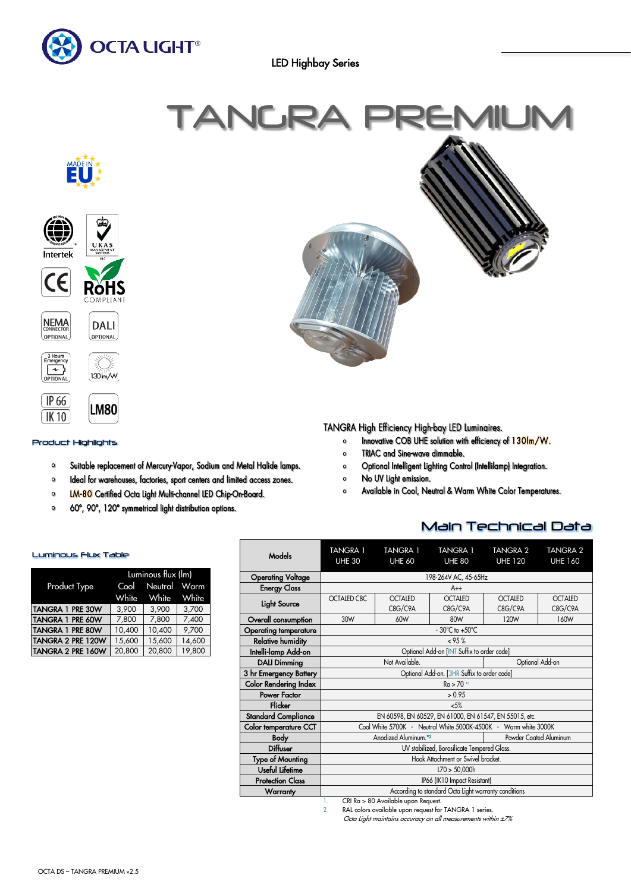

LED Highbay Series



# TANGRA High Efficiency High-bay LED Luminaires.

- Innovative COB UHE solution with efficiency of 130Im/W.  $\circ$
- TRIAC and Sine-wave dimmable.  $\bullet$
- Optional Intelligent Lighting Control (Intellilamp) Integration.  $\bullet$
- $\bullet$ No UV Light emission.
- Available in Cool, Neutral & Warm White Color Temperatures.  $\circ$

# Main Technical Data

| <b>Models</b>                             | <b>TANGRA 1</b><br><b>UHE 30</b>                                | <b>TANGRA 1</b><br><b>UHE 60</b> | <b>TANGRA 1</b><br><b>UHE 80</b> | <b>TANGRA 2</b><br><b>UHE 120</b> | <b>TANGRA 2</b><br><b>UHE 160</b> |  |
|-------------------------------------------|-----------------------------------------------------------------|----------------------------------|----------------------------------|-----------------------------------|-----------------------------------|--|
| <b>Operating Voltage</b>                  |                                                                 |                                  | 198-264V AC, 45-65Hz             |                                   |                                   |  |
| <b>Energy Class</b>                       | $A++$                                                           |                                  |                                  |                                   |                                   |  |
| Light Source                              | OCTALED C8C                                                     | <b>OCTALED</b><br>C8G/C9A        | <b>OCTALED</b><br>C8G/C9A        | <b>OCTALED</b><br>C8G/C9A         | <b>OCTALED</b><br>C8G/C9A         |  |
| Overall consumption                       | 30W                                                             | 60W                              | 80W                              | 120W                              | 160W                              |  |
| <b>Operating temperature</b>              | $-30^{\circ}$ C to $+50^{\circ}$ C                              |                                  |                                  |                                   |                                   |  |
| <b>Relative humidity</b>                  | < 95%                                                           |                                  |                                  |                                   |                                   |  |
| Intelli-lamp Add-on                       | Optional Add-on [INT Suffix to order code]                      |                                  |                                  |                                   |                                   |  |
| <b>DALI Dimming</b>                       | Not Available.<br>Optional Add-on                               |                                  |                                  |                                   |                                   |  |
| 3 hr Emergency Battery                    | Optional Add-on. [3HR Suffix to order code]                     |                                  |                                  |                                   |                                   |  |
| <b>Color Rendering Index</b>              | $Ra > 70$ *                                                     |                                  |                                  |                                   |                                   |  |
| Power Factor                              | > 0.95                                                          |                                  |                                  |                                   |                                   |  |
| Flicker                                   | 5%                                                              |                                  |                                  |                                   |                                   |  |
| <b>Standard Compliance</b>                | EN 60598, EN 60529, EN 61000, EN 61547, EN 55015, etc.          |                                  |                                  |                                   |                                   |  |
| <b>Color temperature CCT</b>              | Cool White 5700K - Neutral White 5000K-4500K - Warm white 3000K |                                  |                                  |                                   |                                   |  |
| <b>Body</b>                               | Anodized Aluminum. <sup>*2</sup><br>Powder Coated Aluminum      |                                  |                                  |                                   |                                   |  |
| <b>Diffuser</b>                           | UV stabilized, Borosilicate Tempered Glass.                     |                                  |                                  |                                   |                                   |  |
| <b>Type of Mounting</b>                   | Hook Attachment or Swivel bracket.                              |                                  |                                  |                                   |                                   |  |
| Useful Lifetime                           | L70 > 50,000h                                                   |                                  |                                  |                                   |                                   |  |
| <b>Protection Class</b>                   | IP66 (IK10 Impact Resistant)                                    |                                  |                                  |                                   |                                   |  |
| Warranty                                  | According to standard Octa Light warranty conditions            |                                  |                                  |                                   |                                   |  |
| CRI Ra > 80 Available upon Request.<br>1. |                                                                 |                                  |                                  |                                   |                                   |  |

2. RAL colors available upon request for TANGRA 1 series.

Octa Light maintains accuracy on all measurements within ±7%

## Luminous Flux Table

Product Highlights

LM80

Suitable replacement of Mercury-Vapor, Sodium and Metal Halide lamps.

Ideal for warehouses, factories, sport centers and limited access zones.

LM-80 Certified Octa Light Multi-channel LED Chip-On-Board.

60°, 90°, 120° symmetrical light distribution options.

 $[$  IP 66

 $(K10)$ 

 $\bullet$ 

 $\bullet$ 

 $\mathbf{o}$  $\bullet$ 

|                         | Luminous flux (lm) |                   |        |  |  |
|-------------------------|--------------------|-------------------|--------|--|--|
| Product Type            |                    | Cool Neutral Warm |        |  |  |
|                         | White              | White White       |        |  |  |
| <b>TANGRA 1 PRE 30W</b> | 3,900              | 3,900             | 3,700  |  |  |
| TANGRA 1 PRE 60W        | 7,800              | 7,800             | 7,400  |  |  |
| <b>TANGRA 1 PRE 80W</b> | 10,400             | 10,400            | 9,700  |  |  |
| TANGRA 2 PRE 120W       | 15,600             | 15,600            | 14,600 |  |  |
| TANGRA 2 PRE 160W       | 20,800             | 20,800            | 19,800 |  |  |